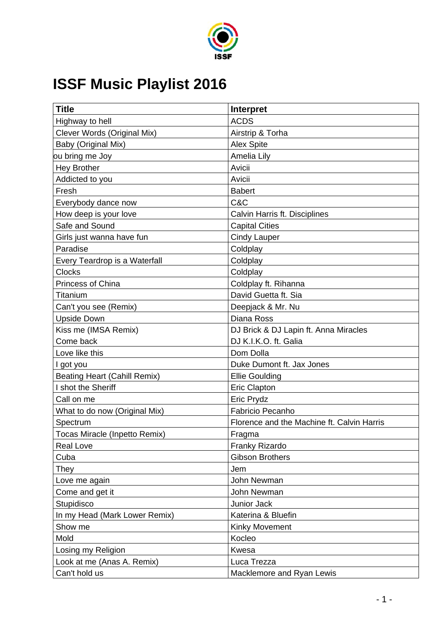

## **ISSF Music Playlist 2016**

| <b>Title</b>                        | Interpret                                  |
|-------------------------------------|--------------------------------------------|
| Highway to hell                     | <b>ACDS</b>                                |
| Clever Words (Original Mix)         | Airstrip & Torha                           |
| Baby (Original Mix)                 | <b>Alex Spite</b>                          |
| ou bring me Joy                     | Amelia Lily                                |
| <b>Hey Brother</b>                  | Avicii                                     |
| Addicted to you                     | Avicii                                     |
| Fresh                               | <b>Babert</b>                              |
| Everybody dance now                 | C&C                                        |
| How deep is your love               | Calvin Harris ft. Disciplines              |
| Safe and Sound                      | <b>Capital Cities</b>                      |
| Girls just wanna have fun           | <b>Cindy Lauper</b>                        |
| Paradise                            | Coldplay                                   |
| Every Teardrop is a Waterfall       | Coldplay                                   |
| <b>Clocks</b>                       | Coldplay                                   |
| Princess of China                   | Coldplay ft. Rihanna                       |
| Titanium                            | David Guetta ft. Sia                       |
| Can't you see (Remix)               | Deepjack & Mr. Nu                          |
| <b>Upside Down</b>                  | Diana Ross                                 |
| Kiss me (IMSA Remix)                | DJ Brick & DJ Lapin ft. Anna Miracles      |
| Come back                           | DJ K.I.K.O. ft. Galia                      |
| Love like this                      | Dom Dolla                                  |
| I got you                           | Duke Dumont ft. Jax Jones                  |
| <b>Beating Heart (Cahill Remix)</b> | <b>Ellie Goulding</b>                      |
| shot the Sheriff                    | <b>Eric Clapton</b>                        |
| Call on me                          | Eric Prydz                                 |
| What to do now (Original Mix)       | Fabricio Pecanho                           |
| Spectrum                            | Florence and the Machine ft. Calvin Harris |
| Tocas Miracle (Inpetto Remix)       | Fragma                                     |
| Real Love                           | Franky Rizardo                             |
| Cuba                                | <b>Gibson Brothers</b>                     |
| They                                | Jem                                        |
| Love me again                       | John Newman                                |
| Come and get it                     | John Newman                                |
| Stupidisco                          | Junior Jack                                |
| In my Head (Mark Lower Remix)       | Katerina & Bluefin                         |
| Show me                             | <b>Kinky Movement</b>                      |
| Mold                                | Kocleo                                     |
| Losing my Religion                  | Kwesa                                      |
| Look at me (Anas A. Remix)          | Luca Trezza                                |
| Can't hold us                       | Macklemore and Ryan Lewis                  |